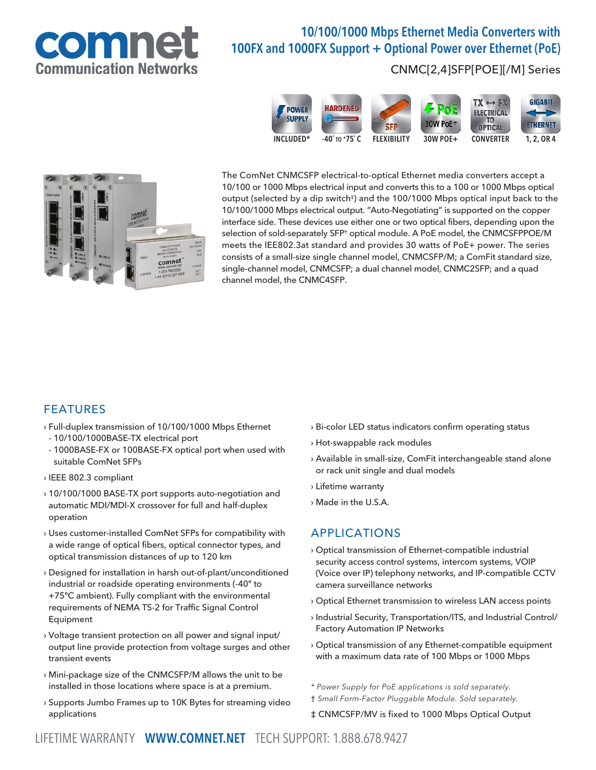

# 10/100/1000 Mbps Ethernet Media Converters with 100FX and 1000FX Support + Optional Power over Ethernet (PoE)

#### CNMC[2,4]SFP[POE][/M] Series





The ComNet CNMCSFP electrical-to-optical Ethernet media converters accept a 10/100 or 1000 Mbps electrical input and converts this to a 100 or 1000 Mbps optical output (selected by a dip switch<sup>‡</sup>) and the 100/1000 Mbps optical input back to the 10/100/1000 Mbps electrical output. "Auto-Negotiating" is supported on the copper interface side. These devices use either one or two optical fibers, depending upon the selection of sold-separately SFP† optical module. A PoE model, the CNMCSFPPOE/M meets the IEE802.3at standard and provides 30 watts of PoE+ power. The series consists of a small-size single channel model, CNMCSFP/M; a ComFit standard size, single-channel model, CNMCSFP; a dual channel model, CNMC2SFP; and a quad channel model, the CNMC4SFP.

### FEATURES

- › Full-duplex transmission of 10/100/1000 Mbps Ethernet
- 10/100/1000BASE-TX electrical port
- 1000BASE-FX or 100BASE-FX optical port when used with suitable ComNet SFPs
- › IEEE 802.3 compliant
- › 10/100/1000 BASE-TX port supports auto-negotiation and automatic MDI/MDI-X crossover for full and half-duplex operation
- › Uses customer-installed ComNet SFPs for compatibility with a wide range of optical fibers, optical connector types, and optical transmission distances of up to 120 km
- › Designed for installation in harsh out-of-plant/unconditioned industrial or roadside operating environments (-40º to +75ºC ambient). Fully compliant with the environmental requirements of NEMA TS-2 for Traffic Signal Control Equipment
- › Voltage transient protection on all power and signal input/ output line provide protection from voltage surges and other transient events
- › Mini-package size of the CNMCSFP/M allows the unit to be installed in those locations where space is at a premium.
- › Supports Jumbo Frames up to 10K Bytes for streaming video applications
- › Bi-color LED status indicators confirm operating status
- › Hot-swappable rack modules
- › Available in small-size, ComFit interchangeable stand alone or rack unit single and dual models
- › Lifetime warranty
- › Made in the U.S.A.

## APPLICATIONS

- › Optical transmission of Ethernet-compatible industrial security access control systems, intercom systems, VOIP (Voice over IP) telephony networks, and IP-compatible CCTV camera surveillance networks
- › Optical Ethernet transmission to wireless LAN access points
- › Industrial Security, Transportation/ITS, and Industrial Control/ Factory Automation IP Networks
- › Optical transmission of any Ethernet-compatible equipment with a maximum data rate of 100 Mbps or 1000 Mbps
- \* Power Supply for PoE applications is sold separately.
- † Small Form-Factor Pluggable Module. Sold separately.

‡ CNMCSFP/MV is fixed to 1000 Mbps Optical Output